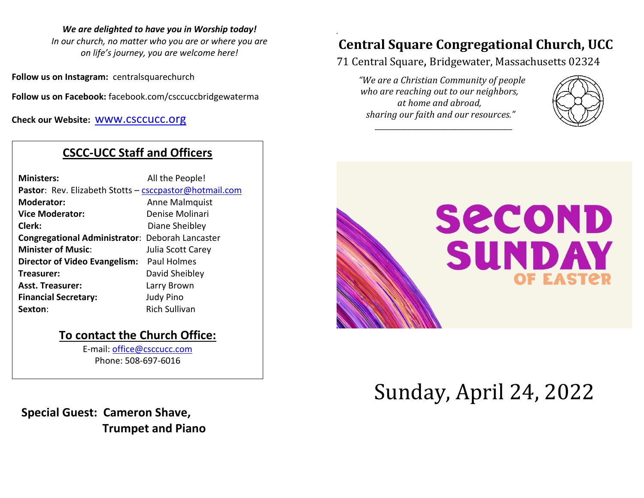#### *We are delighted to have you in Worship today!*

*In our church, no matter who you are or where you are on life's journey, you are welcome here!*

**Follow us on Instagram:** centralsquarechurch

**Follow us on Facebook:** facebook.com/csccuccbridgewaterma

**Check our Website:** [www.csccucc.org](about:blank)

# **CSCC-UCC Staff and Officers**

| <b>Ministers:</b>                                      | All the People!      |
|--------------------------------------------------------|----------------------|
| Pastor: Rev. Elizabeth Stotts - csccpastor@hotmail.com |                      |
| <b>Moderator:</b>                                      | Anne Malmquist       |
| <b>Vice Moderator:</b>                                 | Denise Molinari      |
| Clerk:                                                 | Diane Sheibley       |
| <b>Congregational Administrator: Deborah Lancaster</b> |                      |
| <b>Minister of Music:</b>                              | Julia Scott Carey    |
| Director of Video Evangelism: Paul Holmes              |                      |
| Treasurer:                                             | David Sheibley       |
| <b>Asst. Treasurer:</b>                                | Larry Brown          |
| <b>Financial Secretary:</b>                            | <b>Judy Pino</b>     |
| Sexton:                                                | <b>Rich Sullivan</b> |
|                                                        |                      |

## **To contact the Church Office:**

E-mail: [office@csccucc.com](mailto:office@csccucc.com) Phone: 508-697-6016

 **Special Guest: Cameron Shave, Trumpet and Piano**

# **Central Square Congregational Church, UCC**

71 Central Square, Bridgewater, Massachusetts 02324

*"We are a Christian Community of people who are reaching out to our neighbors, at home and abroad, sharing our faith and our resources."*

*\_\_\_\_\_\_\_\_\_\_\_\_\_\_\_\_\_\_\_\_\_\_\_\_\_\_\_\_\_\_\_\_\_\_\_\_\_\_*

*.*





# Sunday, April 24, 2022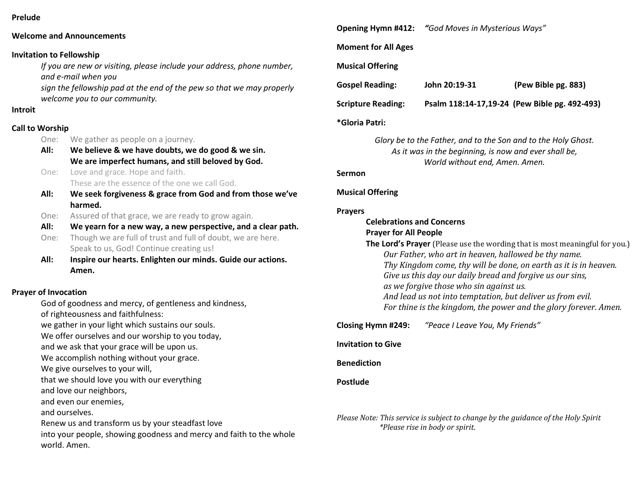#### **Prelude**

#### **Welcome and Announcements**

#### **Invitation to Fellowship**

*If you are new or visiting, please include your address, phone number, and e-mail when you*

*sign the fellowship pad at the end of the pew so that we may properly welcome you to our community.*

#### **Introit**

#### **Call to Worship**

- One: We gather as people on a journey.
- **All: We believe & we have doubts, we do good & we sin. We are imperfect humans, and still beloved by God.**
- One: Love and grace. Hope and faith. These are the essence of the one we call God.
- **All: We seek forgiveness & grace from God and from those we've harmed.**
- One: Assured of that grace, we are ready to grow again.
- **All: We yearn for a new way, a new perspective, and a clear path.**
- One: Though we are full of trust and full of doubt, we are here. Speak to us, God! Continue creating us!
- **All: Inspire our hearts. Enlighten our minds. Guide our actions. Amen.**

#### **Prayer of Invocation**

God of goodness and mercy, of gentleness and kindness, of righteousness and faithfulness: we gather in your light which sustains our souls. We offer ourselves and our worship to you today, and we ask that your grace will be upon us. We accomplish nothing without your grace. We give ourselves to your will, that we should love you with our everything and love our neighbors, and even our enemies, and ourselves. Renew us and transform us by your steadfast love into your people, showing goodness and mercy and faith to the whole world. Amen.

**Opening Hymn #412:** *"God Moves in Mysterious Ways"*

**Moment for All Ages**

#### **Musical Offering**

| <b>Gospel Reading:</b> | John 20:19-31 | (Pew Bible pg. 883) |
|------------------------|---------------|---------------------|
|                        |               |                     |

**Scripture Reading: Psalm 118:14-17,19-24 (Pew Bible pg. 492-493)**

#### **\*Gloria Patri:**

*Glory be to the Father, and to the Son and to the Holy Ghost. As it was in the beginning, is now and ever shall be, World without end, Amen. Amen.*

**Sermon**

#### **Musical Offering**

#### **Prayers**

#### **Celebrations and Concerns Prayer for All People**

| The Lord's Prayer (Please use the wording that is most meaningful for you.) |
|-----------------------------------------------------------------------------|
| Our Father, who art in heaven, hallowed be thy name.                        |
| Thy Kingdom come, thy will be done, on earth as it is in heaven.            |
| Give us this day our daily bread and forgive us our sins,                   |
| as we forgive those who sin against us.                                     |
| And lead us not into temptation, but deliver us from evil.                  |
| For thine is the kingdom, the power and the glory forever. Amen.            |

#### **Closing Hymn #249:** *"Peace I Leave You, My Friends"*

**Invitation to Give**

**Benediction**

**Postlude**

*Please Note: This service is subject to change by the guidance of the Holy Spirit \*Please rise in body or spirit.*